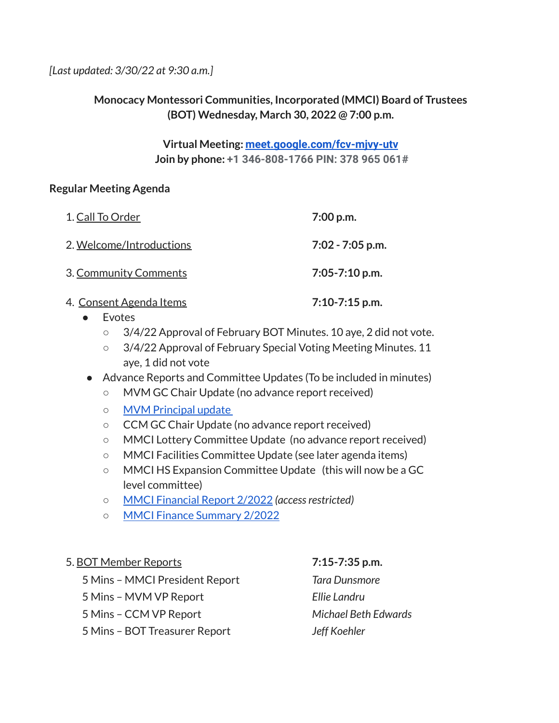*[Last updated: 3/30/22 at 9:30 a.m.]*

# **Monocacy Montessori Communities, Incorporated (MMCI) Board of Trustees (BOT) Wednesday, March 30, 2022 @ 7:00 p.m.**

### **Virtual Meeting: [meet.google.com/fcv-mjvy-utv](http://meet.google.com/fcv-mjvy-utv) Join by phone: +1 346-808-1766 PIN: 378 965 061#**

### **Regular Meeting Agenda**

| 1. Call To Order                | 7:00 p.m.          |
|---------------------------------|--------------------|
| 2. Welcome/Introductions        | 7:02 - 7:05 p.m.   |
| 3. Community Comments           | $7:05 - 7:10$ p.m. |
| <u> 4. Consent Agenda Items</u> | $7:10-7:15$ p.m.   |

- Evotes
	- 3/4/22 Approval of February BOT Minutes. 10 aye, 2 did not vote.
	- 3/4/22 Approval of February Special Voting Meeting Minutes. 11 aye, 1 did not vote

### Advance Reports and Committee Updates (To be included in minutes)

- MVM GC Chair Update (no advance report received)
- o MVM [Principal](https://docs.google.com/document/d/1RsSuwopdScRbaLvhGWsS1K53K9P1PUIUUxaZimWQzD4/edit?usp=sharing) update
- CCM GC Chair Update (no advance report received)
- MMCI Lottery Committee Update (no advance report received)
- MMCI Facilities Committee Update (see later agenda items)
- MMCI HS Expansion Committee Update (this will now be a GC level committee)
- MMCI [Financial](https://drive.google.com/file/d/1VAvHQL1AR-bcPXloIZEJflIWMXf5XD7j/view?usp=sharing) Report 2/2022 *(accessrestricted)*
- MMCI Finance [Summary](https://docs.google.com/document/d/1mnqskRsX6aev-WKnUlpVQBaPfwrdu79X/edit?usp=sharing&ouid=112286663168399488725&rtpof=true&sd=true) 2/2022

### 5. BOT Member Reports **7:15-7:35 p.m.**

- 5 Mins MMCI President Report *Tara Dunsmore*
- 5 Mins MVM VP Report *Ellie Landru*
- 5 Mins CCM VP Report *Michael Beth Edwards*
- 5 Mins BOT Treasurer Report *Jeff Koehler*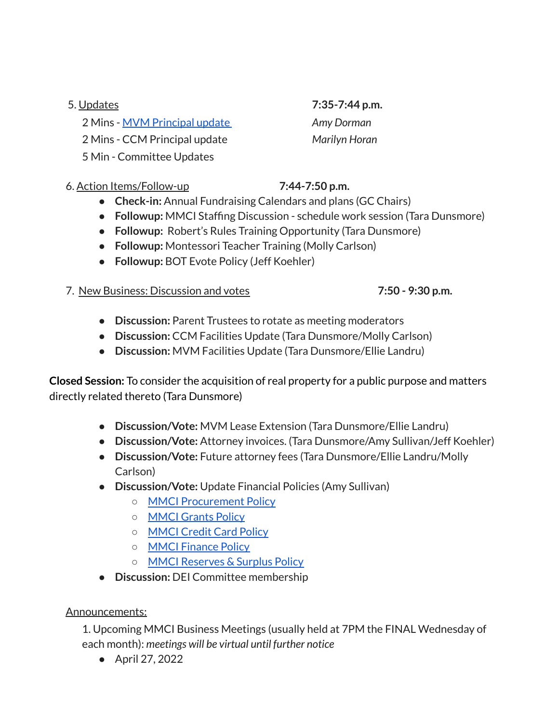## 5. Updates **7:35-7:44 p.m.**

2 Mins - MVM [Principal](https://docs.google.com/document/d/1RsSuwopdScRbaLvhGWsS1K53K9P1PUIUUxaZimWQzD4/edit?usp=sharing) update *Amy Dorman* 2 Mins - CCM Principal update *Marilyn Horan*

5 Min - Committee Updates

## 6. Action Items/Follow-up **7:44-7:50 p.m.**

- **● Check-in:** Annual Fundraising Calendars and plans (GC Chairs)
- **Followup:** MMCI Staffing Discussion schedule work session (Tara Dunsmore)
- **Followup:** Robert's Rules Training Opportunity (Tara Dunsmore)
- **Followup:** Montessori Teacher Training (Molly Carlson)
- **● Followup:** BOT Evote Policy (Jeff Koehler)

# 7. New Business: Discussion and votes **7:50 - 9:30 p.m.**

- **● Discussion:** Parent Trustees to rotate as meeting moderators
- **● Discussion:** CCM Facilities Update (Tara Dunsmore/Molly Carlson)
- **● Discussion:** MVM Facilities Update (Tara Dunsmore/Ellie Landru)

**Closed Session:** To consider the acquisition of real property for a public purpose and matters directly related thereto (Tara Dunsmore)

- **● Discussion/Vote:** MVM Lease Extension (Tara Dunsmore/Ellie Landru)
- **● Discussion/Vote:** Attorney invoices. (Tara Dunsmore/Amy Sullivan/Jeff Koehler)
- **● Discussion/Vote:** Future attorney fees (Tara Dunsmore/Ellie Landru/Molly Carlson)
- **● Discussion/Vote:** Update Financial Policies (Amy Sullivan)
	- MMCI [Procurement](https://docs.google.com/document/d/1yZ9G_FPcds_MuosVpdqdhki15iEeKCeBa1EbnAqyuoQ/edit?usp=sharing) Policy
	- MMCI [Grants](https://docs.google.com/document/d/15-DabJ2h137coz5E8acFQ5343nYxaS9n2vNu4cPIZKE/edit?usp=sharing) Policy
	- [MMCI](https://docs.google.com/document/d/1sIquAAI9iuPj1j0UObaNfzDfwEbwQJ3h/edit?usp=sharing&ouid=112286663168399488725&rtpof=true&sd=true) Credit Card Policy
	- MMCI [Finance](https://docs.google.com/document/d/1W-3T7fFLPDvmZ7V8vlrbvgyG5C0TmQdE/edit?usp=sharing&ouid=112286663168399488725&rtpof=true&sd=true) Policy
	- MMCI [Reserves](https://docs.google.com/document/d/1d6-DSQaC6wz5uFifzV_HQEnJehDKo1JvF6Be7XRR4nc/edit?usp=sharing) & Surplus Policy
- **Discussion:** DEI Committee membership

## Announcements:

1. Upcoming MMCI Business Meetings (usually held at 7PM the FINAL Wednesday of each month): *meetings will be virtual until further notice*

● April 27, 2022